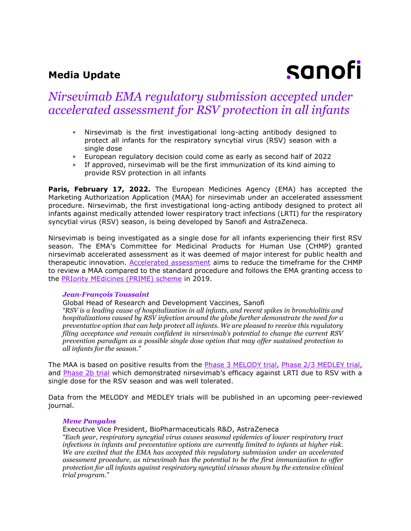# **Media Update**

# sanofi

# *Nirsevimab EMA regulatory submission accepted under accelerated assessment for RSV protection in all infants*

- Nirsevimab is the first investigational long-acting antibody designed to protect all infants for the respiratory syncytial virus (RSV) season with a single dose
- European regulatory decision could come as early as second half of 2022
- If approved, nirsevimab will be the first immunization of its kind aiming to provide RSV protection in all infants

**Paris, February 17, 2022.** The European Medicines Agency (EMA) has accepted the Marketing Authorization Application (MAA) for nirsevimab under an accelerated assessment procedure. Nirsevimab, the first investigational long-acting antibody designed to protect all infants against medically attended lower respiratory tract infections (LRTI) for the respiratory syncytial virus (RSV) season, is being developed by Sanofi and AstraZeneca.

Nirsevimab is being investigated as a single dose for all infants experiencing their first RSV season. The EMA's Committee for Medicinal Products for Human Use (CHMP) granted nirsevimab accelerated assessment as it was deemed of major interest for public health and therapeutic innovation. [Accelerated assessment](https://www.ema.europa.eu/en/human-regulatory/marketing-authorisation/accelerated-assessment) aims to reduce the timeframe for the CHMP to review a MAA compared to the standard procedure and follows the EMA granting access to the [PRIority MEdicines \(PRIME\) scheme](https://www.astrazeneca.com/media-centre/press-releases/2019/ema-grants-prime-eligibility-for-potential-next-generation-rsv-medicine-medi8897-05022019.html) in 2019.

## *Jean-François Toussaint*

Global Head of Research and Development Vaccines, Sanofi

*"RSV is a leading cause of hospitalization in all infants, and recent spikes in bronchiolitis and hospitalizations caused by RSV infection around the globe further demonstrate the need for a preventative option that can help protect all infants. We are pleased to receive this regulatory filing acceptance and remain confident in nirsevimab's potential to change the current RSV prevention paradigm as a possible single dose option that may offer sustained protection to all infants for the season."*

The MAA is based on positive results from the **Phase 3 MELODY trial, Phase 2/3 MEDLEY trial**, and [Phase 2b trial](https://www.sanofi.com/en/media-room/press-releases/2020/2020-07-30-08-15-00) which demonstrated nirsevimab's efficacy against LRTI due to RSV with a single dose for the RSV season and was well tolerated.

Data from the MELODY and MEDLEY trials will be published in an upcoming peer-reviewed journal.

## *Mene Pangalos*

Executive Vice President, BioPharmaceuticals R&D, AstraZeneca *"Each year, respiratory syncytial virus causes seasonal epidemics of lower respiratory tract infections in infants and preventative options are currently limited to infants at higher risk. We are excited that the EMA has accepted this regulatory submission under an accelerated assessment procedure, as nirsevimab has the potential to be the first immunization to offer protection for all infants against respiratory syncytial virusas shown by the extensive clinical trial program."*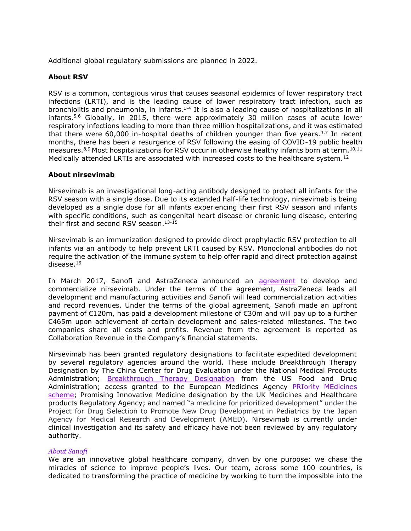Additional global regulatory submissions are planned in 2022.

# **About RSV**

RSV is a common, contagious virus that causes seasonal epidemics of lower respiratory tract infections (LRTI), and is the leading cause of lower respiratory tract infection, such as bronchiolitis and pneumonia, in infants.<sup>1-4</sup> It is also a leading cause of hospitalizations in all infants.<sup>5,6</sup> Globally, in 2015, there were approximately 30 million cases of acute lower respiratory infections leading to more than three million hospitalizations, and it was estimated that there were 60,000 in-hospital deaths of children younger than five years.<sup>3,7</sup> In recent months, there has been a resurgence of RSV following the easing of COVID-19 public health measures.<sup>8,9</sup> Most hospitalizations for RSV occur in otherwise healthy infants born at term.<sup>10,11</sup> Medically attended LRTIs are associated with increased costs to the healthcare system.<sup>12</sup>

# **About nirsevimab**

Nirsevimab is an investigational long-acting antibody designed to protect all infants for the RSV season with a single dose. Due to its extended half-life technology, nirsevimab is being developed as a single dose for all infants experiencing their first RSV season and infants with specific conditions, such as congenital heart disease or chronic lung disease, entering their first and second RSV season. 13-15

Nirsevimab is an immunization designed to provide direct prophylactic RSV protection to all infants via an antibody to help prevent LRTI caused by RSV. Monoclonal antibodies do not require the activation of the immune system to help offer rapid and direct protection against disease.<sup>16</sup>

In March 2017, Sanofi and AstraZeneca announced an [agreement](https://www.sanofi.com/en/media-room/press-releases/2017/2017-03-03-08-00-00) to develop and commercialize nirsevimab. Under the terms of the agreement, AstraZeneca leads all development and manufacturing activities and Sanofi will lead commercialization activities and record revenues. Under the terms of the global agreement, Sanofi made an upfront payment of €120m, has paid a development milestone of €30m and will pay up to a further €465m upon achievement of certain development and sales-related milestones. The two companies share all costs and profits. Revenue from the agreement is reported as Collaboration Revenue in the Company's financial statements.

Nirsevimab has been granted regulatory designations to facilitate expedited development by several regulatory agencies around the world. These include Breakthrough Therapy Designation by The China Center for Drug Evaluation under the National Medical Products Administration; **[Breakthrough Therapy Designation](https://www.astrazeneca.com/media-centre/press-releases/2019/us-fda-grants-breakthrough-therapy-designation-for-potential-next-generation-rsv-medicine-medi8897.html)** from the US Food and Drug Administration; access granted to the European Medicines Agency [PRIority MEdicines](https://www.astrazeneca.com/media-centre/press-releases/2019/ema-grants-prime-eligibility-for-potential-next-generation-rsv-medicine-medi8897-05022019.html)  [scheme;](https://www.astrazeneca.com/media-centre/press-releases/2019/ema-grants-prime-eligibility-for-potential-next-generation-rsv-medicine-medi8897-05022019.html) Promising Innovative Medicine designation by the UK Medicines and Healthcare products Regulatory Agency; and named "a medicine for prioritized development" under the Project for Drug Selection to Promote New Drug Development in Pediatrics by the Japan Agency for Medical Research and Development (AMED). Nirsevimab is currently under clinical investigation and its safety and efficacy have not been reviewed by any regulatory authority.

## *About Sanofi*

We are an innovative global healthcare company, driven by one purpose: we chase the miracles of science to improve people's lives. Our team, across some 100 countries, is dedicated to transforming the practice of medicine by working to turn the impossible into the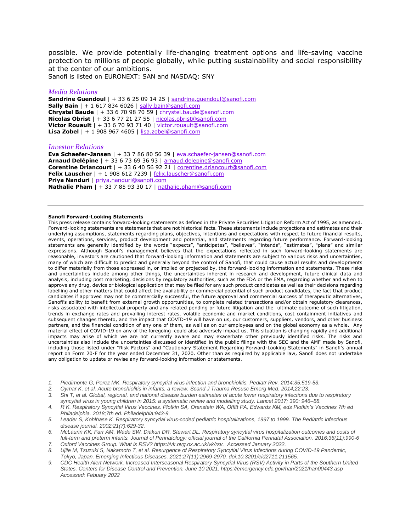possible. We provide potentially life-changing treatment options and life-saving vaccine protection to millions of people globally, while putting sustainability and social responsibility at the center of our ambitions.

Sanofi is listed on EURONEXT: SAN and NASDAQ: SNY

#### *Media Relations*

**Sandrine Guendoul** | + 33 6 25 09 14 25 | [sandrine.guendoul@sanofi.com](mailto:sandrine.guendoul@sanofi.com) **Sally Bain** | + 1 617 834 6026 | [sally.bain@sanofi.com](mailto:sally.bain@sanofi.com) **Chrystel Baude** | + 33 6 70 98 70 59 | [chrystel.baude@sanofi.com](mailto:chrystel.baude@sanofi.com) **Nicolas Obrist** | + 33 6 77 21 27 55 | [nicolas.obrist@sanofi.com](mailto:nicolas.obrist@sanofi.com) **Victor Rouault** | + 33 6 70 93 71 40 | [victor.rouault@sanofi.com](mailto:victor.rouault@sanofi.com) **Lisa Zobel** | + 1 908 967 4605 | [lisa.zobel@sanofi.com](mailto:lisa.zobel@sanofi.com)

#### *Investor Relations*

**Eva Schaefer-Jansen** | + 33 7 86 80 56 39 | [eva.schaefer-jansen@sanofi.com](mailto:eva.schaefer-jansen@sanofi.com) **Arnaud Delépine** | + 33 6 73 69 36 93 | [arnaud.delepine@sanofi.com](mailto:arnaud.delepine@sanofi.com) **Corentine Driancourt** | + 33 6 40 56 92 21 | [corentine.driancourt@sanofi.com](mailto:corentine.driancourt@sanofi.com) Felix Lauscher | + 1 908 612 7239 | [felix.lauscher@sanofi.com](mailto:felix.lauscher@sanofi.com) **Priya Nanduri** | [priya.nanduri@sanofi.com](mailto:priya.nanduri@sanofi.com) **Nathalie Pham** | + 33 7 85 93 30 17 | [nathalie.pham@sanofi.com](mailto:nathalie.pham@sanofi.com)

#### **Sanofi Forward-Looking Statements**

This press release contains forward-looking statements as defined in the Private Securities Litigation Reform Act of 1995, as amended. Forward-looking statements are statements that are not historical facts. These statements include projections and estimates and their underlying assumptions, statements regarding plans, objectives, intentions and expectations with respect to future financial results, events, operations, services, product development and potential, and statements regarding future performance. Forward-looking statements are generally identified by the words "expects", "anticipates", "believes", "intends", "estimates", "plans" and similar expressions. Although Sanofi's management believes that the expectations reflected in such forward-looking statements are reasonable, investors are cautioned that forward-looking information and statements are subject to various risks and uncertainties, many of which are difficult to predict and generally beyond the control of Sanofi, that could cause actual results and developments to differ materially from those expressed in, or implied or projected by, the forward-looking information and statements. These risks and uncertainties include among other things, the uncertainties inherent in research and development, future clinical data and analysis, including post marketing, decisions by regulatory authorities, such as the FDA or the EMA, regarding whether and when to approve any drug, device or biological application that may be filed for any such product candidates as well as their decisions regarding labelling and other matters that could affect the availability or commercial potential of such product candidates, the fact that product candidates if approved may not be commercially successful, the future approval and commercial success of therapeutic alternatives, Sanofi's ability to benefit from external growth opportunities, to complete related transactions and/or obtain regulatory clearances, risks associated with intellectual property and any related pending or future litigation and the ultimate outcome of such litigation, trends in exchange rates and prevailing interest rates, volatile economic and market conditions, cost containment initiatives and subsequent changes thereto, and the impact that COVID-19 will have on us, our customers, suppliers, vendors, and other business partners, and the financial condition of any one of them, as well as on our employees and on the global economy as a whole. Any material effect of COVID-19 on any of the foregoing could also adversely impact us. This situation is changing rapidly and additional impacts may arise of which we are not currently aware and may exacerbate other previously identified risks. The risks and uncertainties also include the uncertainties discussed or identified in the public filings with the SEC and the AMF made by Sanofi, including those listed under "Risk Factors" and "Cautionary Statement Regarding Forward-Looking Statements" in Sanofi's annual report on Form 20-F for the year ended December 31, 2020. Other than as required by applicable law, Sanofi does not undertake any obligation to update or revise any forward-looking information or statements.

- *1. Piedimonte G, Perez MK. Respiratory syncytial virus infection and bronchiolitis. Pediatr Rev. 2014;35:519-53.*
- *2. Oymar K, et al. Acute bronchiolitis in infants, a review. Scand J Trauma Resusc Emerg Med. 2014;22:23.*
- *3. Shi T, et al. Global, regional, and national disease burden estimates of acute lower respiratory infections due to respiratory syncytial virus in young children in 2015: a systematic review and modelling study. Lancet 2017; 390: 946–58.*
- *4. R K. Respiratory Syncytial Virus Vaccines. Plotkin SA, Orenstein WA, Offitt PA, Edwards KM, eds Plotkin's Vaccines 7th ed Philadelphia. 2018;7th ed. Philadelphia:943-9.*
- *5. Leader S, Kohlhase K. Respiratory syncytial virus-coded pediatric hospitalizations, 1997 to 1999. The Pediatric infectious disease journal. 2002;21(7):629-32.*
- *6. McLaurin KK, Farr AM, Wade SW, Diakun DR, Stewart DL. Respiratory syncytial virus hospitalization outcomes and costs of full-term and preterm infants. Journal of Perinatology: official journal of the California Perinatal Association. 2016;36(11):990-6*
- *7. Oxford Vaccines Group. What is RSV? https://vk.ovg.ox.ac.uk/vk/rsv. Accessed January 2022.*
- *8. Ujiie M, Tsuzuki S, Nakamoto T, et al. Resurgence of Respiratory Syncytial Virus Infections during COVID-19 Pandemic, Tokyo, Japan. Emerging Infectious Diseases. 2021;27(11):2969-2970. doi:10.3201/eid2711.211565.*
- *9. CDC Health Alert Network. Increased Interseasonal Respiratory Syncytial Virus (RSV) Activity in Parts of the Southern United States. Centers for Disease Control and Prevention. June 10 2021. https://emergency.cdc.gov/han/2021/han00443.asp Accessed: Febuary 2022*